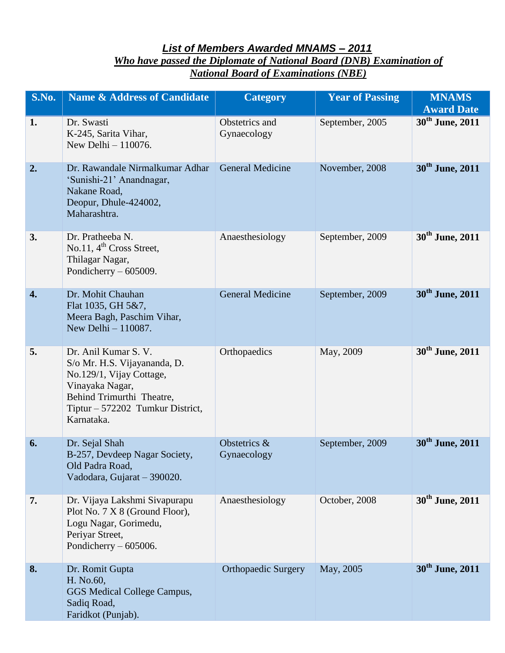## *List of Members Awarded MNAMS – 2011 Who have passed the Diplomate of National Board (DNB) Examination of National Board of Examinations (NBE)*

| S.No. | <b>Name &amp; Address of Candidate</b>                                                                                                                                             | <b>Category</b>               | <b>Year of Passing</b> | <b>MNAMS</b><br><b>Award Date</b> |
|-------|------------------------------------------------------------------------------------------------------------------------------------------------------------------------------------|-------------------------------|------------------------|-----------------------------------|
| 1.    | Dr. Swasti<br>K-245, Sarita Vihar,<br>New Delhi - 110076.                                                                                                                          | Obstetrics and<br>Gynaecology | September, 2005        | $30th$ June, 2011                 |
| 2.    | Dr. Rawandale Nirmalkumar Adhar<br>'Sunishi-21' Anandnagar,<br>Nakane Road,<br>Deopur, Dhule-424002,<br>Maharashtra.                                                               | <b>General Medicine</b>       | November, 2008         | 30 <sup>th</sup> June, 2011       |
| 3.    | Dr. Pratheeba N.<br>No.11, $4th$ Cross Street,<br>Thilagar Nagar,<br>Pondicherry $-605009$ .                                                                                       | Anaesthesiology               | September, 2009        | 30 <sup>th</sup> June, 2011       |
| 4.    | Dr. Mohit Chauhan<br>Flat 1035, GH 5&7,<br>Meera Bagh, Paschim Vihar,<br>New Delhi - 110087.                                                                                       | <b>General Medicine</b>       | September, 2009        | 30 <sup>th</sup> June, 2011       |
| 5.    | Dr. Anil Kumar S. V.<br>S/o Mr. H.S. Vijayananda, D.<br>No.129/1, Vijay Cottage,<br>Vinayaka Nagar,<br>Behind Trimurthi Theatre,<br>Tiptur – 572202 Tumkur District,<br>Karnataka. | Orthopaedics                  | May, 2009              | 30 <sup>th</sup> June, 2011       |
| 6.    | Dr. Sejal Shah<br>B-257, Devdeep Nagar Society,<br>Old Padra Road,<br>Vadodara, Gujarat - 390020.                                                                                  | Obstetrics &<br>Gynaecology   | September, 2009        | 30 <sup>th</sup> June, 2011       |
| 7.    | Dr. Vijaya Lakshmi Sivapurapu<br>Plot No. 7 X 8 (Ground Floor),<br>Logu Nagar, Gorimedu,<br>Periyar Street,<br>Pondicherry $-605006$ .                                             | Anaesthesiology               | October, 2008          | 30 <sup>th</sup> June, 2011       |
| 8.    | Dr. Romit Gupta<br>H. No.60,<br>GGS Medical College Campus,<br>Sadiq Road,<br>Faridkot (Punjab).                                                                                   | <b>Orthopaedic Surgery</b>    | May, 2005              | 30 <sup>th</sup> June, 2011       |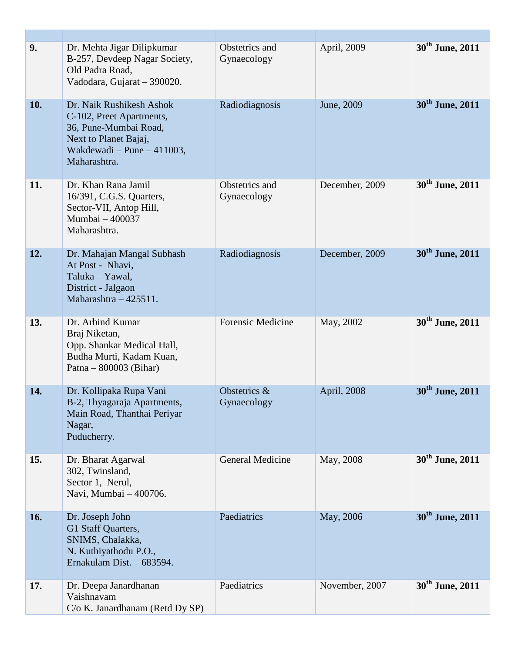| 9.  | Dr. Mehta Jigar Dilipkumar<br>B-257, Devdeep Nagar Society,<br>Old Padra Road,<br>Vadodara, Gujarat - 390020.                                        | Obstetrics and<br>Gynaecology | April, 2009    | 30 <sup>th</sup> June, 2011 |
|-----|------------------------------------------------------------------------------------------------------------------------------------------------------|-------------------------------|----------------|-----------------------------|
| 10. | Dr. Naik Rushikesh Ashok<br>C-102, Preet Apartments,<br>36, Pune-Mumbai Road,<br>Next to Planet Bajaj,<br>Wakdewadi – Pune – 411003,<br>Maharashtra. | Radiodiagnosis                | June, 2009     | 30 <sup>th</sup> June, 2011 |
| 11. | Dr. Khan Rana Jamil<br>16/391, C.G.S. Quarters,<br>Sector-VII, Antop Hill,<br>Mumbai - 400037<br>Maharashtra.                                        | Obstetrics and<br>Gynaecology | December, 2009 | 30 <sup>th</sup> June, 2011 |
| 12. | Dr. Mahajan Mangal Subhash<br>At Post - Nhavi,<br>Taluka - Yawal,<br>District - Jalgaon<br>Maharashtra $-425511$ .                                   | Radiodiagnosis                | December, 2009 | 30 <sup>th</sup> June, 2011 |
| 13. | Dr. Arbind Kumar<br>Braj Niketan,<br>Opp. Shankar Medical Hall,<br>Budha Murti, Kadam Kuan,<br>Patna – $800003$ (Bihar)                              | <b>Forensic Medicine</b>      | May, 2002      | 30 <sup>th</sup> June, 2011 |
| 14. | Dr. Kollipaka Rupa Vani<br>B-2, Thyagaraja Apartments,<br>Main Road, Thanthai Periyar<br>Nagar,<br>Puducherry.                                       | Obstetrics &<br>Gynaecology   | April, 2008    | 30 <sup>th</sup> June, 2011 |
| 15. | Dr. Bharat Agarwal<br>302, Twinsland,<br>Sector 1, Nerul,<br>Navi, Mumbai - 400706.                                                                  | General Medicine              | May, 2008      | 30 <sup>th</sup> June, 2011 |
| 16. | Dr. Joseph John<br>G1 Staff Quarters,<br>SNIMS, Chalakka,<br>N. Kuthiyathodu P.O.,<br>Ernakulam Dist. - 683594.                                      | Paediatrics                   | May, 2006      | 30 <sup>th</sup> June, 2011 |
| 17. | Dr. Deepa Janardhanan<br>Vaishnavam<br>C/o K. Janardhanam (Retd Dy SP)                                                                               | Paediatrics                   | November, 2007 | 30 <sup>th</sup> June, 2011 |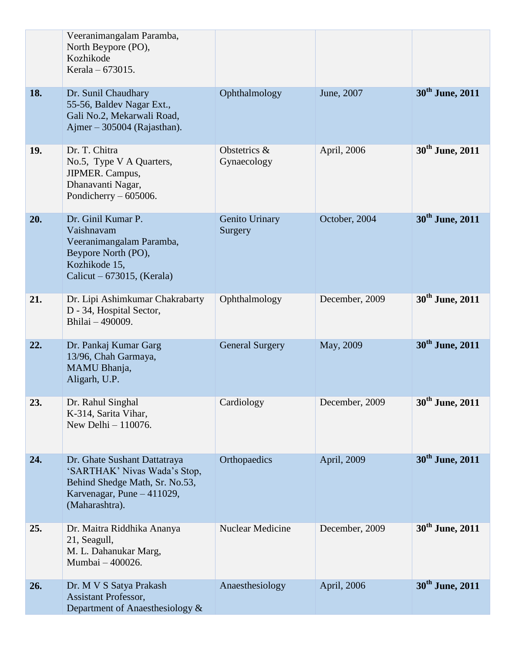|     | Veeranimangalam Paramba,<br>North Beypore (PO),<br>Kozhikode<br>Kerala – 673015.                                                               |                             |                |                             |
|-----|------------------------------------------------------------------------------------------------------------------------------------------------|-----------------------------|----------------|-----------------------------|
| 18. | Dr. Sunil Chaudhary<br>55-56, Baldev Nagar Ext.,<br>Gali No.2, Mekarwali Road,<br>Ajmer $-305004$ (Rajasthan).                                 | Ophthalmology               | June, 2007     | 30 <sup>th</sup> June, 2011 |
| 19. | Dr. T. Chitra<br>No.5, Type V A Quarters,<br>JIPMER. Campus,<br>Dhanavanti Nagar,<br>Pondicherry $-605006$ .                                   | Obstetrics &<br>Gynaecology | April, 2006    | 30 <sup>th</sup> June, 2011 |
| 20. | Dr. Ginil Kumar P.<br>Vaishnavam<br>Veeranimangalam Paramba,<br>Beypore North (PO),<br>Kozhikode 15,<br>Calicut – $673015$ , (Kerala)          | Genito Urinary<br>Surgery   | October, 2004  | 30 <sup>th</sup> June, 2011 |
| 21. | Dr. Lipi Ashimkumar Chakrabarty<br>D - 34, Hospital Sector,<br>Bhilai - 490009.                                                                | Ophthalmology               | December, 2009 | 30 <sup>th</sup> June, 2011 |
| 22. | Dr. Pankaj Kumar Garg<br>13/96, Chah Garmaya,<br>MAMU Bhanja,<br>Aligarh, U.P.                                                                 | <b>General Surgery</b>      | May, 2009      | 30 <sup>th</sup> June, 2011 |
| 23. | Dr. Rahul Singhal<br>K-314, Sarita Vihar,<br>New Delhi - 110076.                                                                               | Cardiology                  | December, 2009 | 30 <sup>th</sup> June, 2011 |
| 24. | Dr. Ghate Sushant Dattatraya<br>'SARTHAK' Nivas Wada's Stop,<br>Behind Shedge Math, Sr. No.53,<br>Karvenagar, Pune - 411029,<br>(Maharashtra). | Orthopaedics                | April, 2009    | 30 <sup>th</sup> June, 2011 |
| 25. | Dr. Maitra Riddhika Ananya<br>21, Seagull,<br>M. L. Dahanukar Marg,<br>Mumbai - 400026.                                                        | <b>Nuclear Medicine</b>     | December, 2009 | 30 <sup>th</sup> June, 2011 |
| 26. | Dr. M V S Satya Prakash<br><b>Assistant Professor,</b><br>Department of Anaesthesiology &                                                      | Anaesthesiology             | April, 2006    | 30 <sup>th</sup> June, 2011 |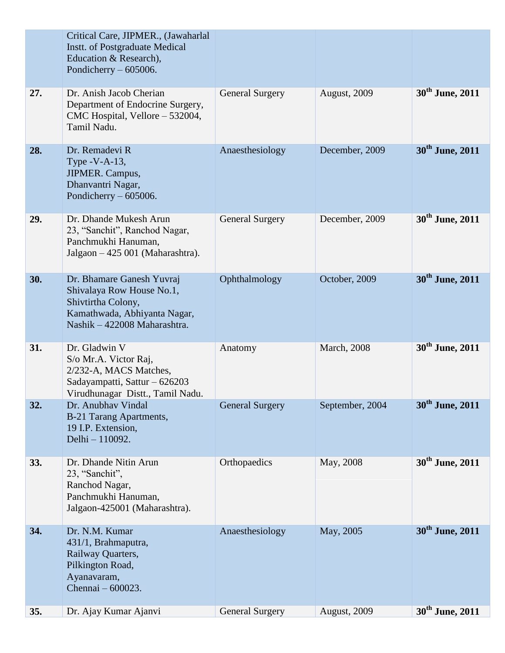|     | Critical Care, JIPMER., (Jawaharlal<br><b>Instt.</b> of Postgraduate Medical<br>Education & Research),<br>Pondicherry $-605006$ .            |                        |                     |                             |
|-----|----------------------------------------------------------------------------------------------------------------------------------------------|------------------------|---------------------|-----------------------------|
| 27. | Dr. Anish Jacob Cherian<br>Department of Endocrine Surgery,<br>CMC Hospital, Vellore - 532004,<br>Tamil Nadu.                                | <b>General Surgery</b> | August, 2009        | 30 <sup>th</sup> June, 2011 |
| 28. | Dr. Remadevi R<br>Type $-V-A-13$ ,<br>JIPMER. Campus,<br>Dhanvantri Nagar,<br>Pondicherry $-605006$ .                                        | Anaesthesiology        | December, 2009      | 30 <sup>th</sup> June, 2011 |
| 29. | Dr. Dhande Mukesh Arun<br>23, "Sanchit", Ranchod Nagar,<br>Panchmukhi Hanuman,<br>Jalgaon - 425 001 (Maharashtra).                           | <b>General Surgery</b> | December, 2009      | 30 <sup>th</sup> June, 2011 |
| 30. | Dr. Bhamare Ganesh Yuvraj<br>Shivalaya Row House No.1,<br>Shivtirtha Colony,<br>Kamathwada, Abhiyanta Nagar,<br>Nashik - 422008 Maharashtra. | Ophthalmology          | October, 2009       | 30 <sup>th</sup> June, 2011 |
| 31. | Dr. Gladwin V<br>S/o Mr.A. Victor Raj,<br>2/232-A, MACS Matches,<br>Sadayampatti, Sattur - 626203<br>Virudhunagar Distt., Tamil Nadu.        | Anatomy                | <b>March</b> , 2008 | 30 <sup>th</sup> June, 2011 |
| 32. | Dr. Anubhav Vindal<br>B-21 Tarang Apartments,<br>19 I.P. Extension,<br>Delhi - 110092.                                                       | <b>General Surgery</b> | September, 2004     | 30 <sup>th</sup> June, 2011 |
| 33. | Dr. Dhande Nitin Arun<br>23, "Sanchit",<br>Ranchod Nagar,<br>Panchmukhi Hanuman,<br>Jalgaon-425001 (Maharashtra).                            | Orthopaedics           | May, 2008           | 30 <sup>th</sup> June, 2011 |
| 34. | Dr. N.M. Kumar<br>431/1, Brahmaputra,<br>Railway Quarters,<br>Pilkington Road,<br>Ayanavaram,<br>Chennai - 600023.                           | Anaesthesiology        | May, 2005           | 30 <sup>th</sup> June, 2011 |
| 35. | Dr. Ajay Kumar Ajanvi                                                                                                                        | <b>General Surgery</b> | August, 2009        | 30 <sup>th</sup> June, 2011 |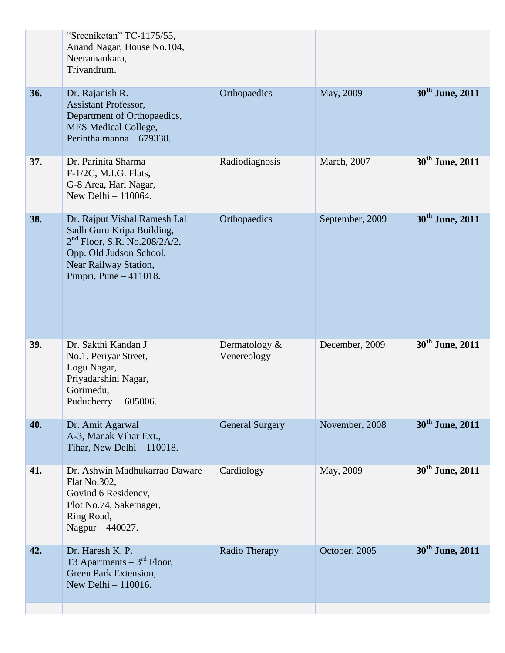|     | "Sreeniketan" TC-1175/55,<br>Anand Nagar, House No.104,<br>Neeramankara,<br>Trivandrum.                                                                                   |                              |                 |                             |
|-----|---------------------------------------------------------------------------------------------------------------------------------------------------------------------------|------------------------------|-----------------|-----------------------------|
| 36. | Dr. Rajanish R.<br><b>Assistant Professor,</b><br>Department of Orthopaedics,<br><b>MES Medical College,</b><br>Perinthalmanna - 679338.                                  | Orthopaedics                 | May, 2009       | 30 <sup>th</sup> June, 2011 |
| 37. | Dr. Parinita Sharma<br>F-1/2C, M.I.G. Flats,<br>G-8 Area, Hari Nagar,<br>New Delhi - 110064.                                                                              | Radiodiagnosis               | March, 2007     | 30 <sup>th</sup> June, 2011 |
| 38. | Dr. Rajput Vishal Ramesh Lal<br>Sadh Guru Kripa Building,<br>$2nd$ Floor, S.R. No.208/2A/2,<br>Opp. Old Judson School,<br>Near Railway Station,<br>Pimpri, Pune - 411018. | Orthopaedics                 | September, 2009 | 30 <sup>th</sup> June, 2011 |
| 39. | Dr. Sakthi Kandan J<br>No.1, Periyar Street,<br>Logu Nagar,<br>Priyadarshini Nagar,<br>Gorimedu,<br>Puducherry $-605006$ .                                                | Dermatology &<br>Venereology | December, 2009  | 30 <sup>th</sup> June, 2011 |
| 40. | Dr. Amit Agarwal<br>A-3, Manak Vihar Ext.,<br>Tihar, New Delhi $-110018$ .                                                                                                | <b>General Surgery</b>       | November, 2008  | 30 <sup>th</sup> June, 2011 |
| 41. | Dr. Ashwin Madhukarrao Daware<br>Flat No.302,<br>Govind 6 Residency,<br>Plot No.74, Saketnager,<br>Ring Road,<br>Nagpur - 440027.                                         | Cardiology                   | May, 2009       | 30 <sup>th</sup> June, 2011 |
| 42. | Dr. Haresh K. P.<br>T3 Apartments $-3^{rd}$ Floor,<br>Green Park Extension,<br>New Delhi - 110016.                                                                        | Radio Therapy                | October, 2005   | 30 <sup>th</sup> June, 2011 |
|     |                                                                                                                                                                           |                              |                 |                             |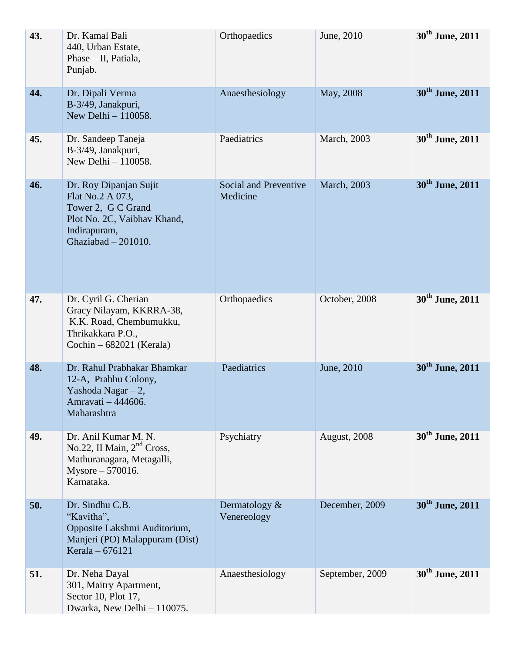| 43. | Dr. Kamal Bali<br>440, Urban Estate,<br>Phase - II, Patiala,<br>Punjab.                                                                  | Orthopaedics                      | June, 2010          | 30 <sup>th</sup> June, 2011 |
|-----|------------------------------------------------------------------------------------------------------------------------------------------|-----------------------------------|---------------------|-----------------------------|
| 44. | Dr. Dipali Verma<br>B-3/49, Janakpuri,<br>New Delhi $-110058$ .                                                                          | Anaesthesiology                   | May, 2008           | 30 <sup>th</sup> June, 2011 |
| 45. | Dr. Sandeep Taneja<br>B-3/49, Janakpuri,<br>New Delhi - 110058.                                                                          | Paediatrics                       | March, 2003         | 30 <sup>th</sup> June, 2011 |
| 46. | Dr. Roy Dipanjan Sujit<br>Flat No.2 A 073,<br>Tower 2, G C Grand<br>Plot No. 2C, Vaibhav Khand,<br>Indirapuram,<br>Ghaziabad $-201010$ . | Social and Preventive<br>Medicine | <b>March</b> , 2003 | 30 <sup>th</sup> June, 2011 |
| 47. | Dr. Cyril G. Cherian<br>Gracy Nilayam, KKRRA-38,<br>K.K. Road, Chembumukku,<br>Thrikakkara P.O.,<br>Cochin - 682021 (Kerala)             | Orthopaedics                      | October, 2008       | 30 <sup>th</sup> June, 2011 |
| 48. | Dr. Rahul Prabhakar Bhamkar<br>12-A, Prabhu Colony,<br>Yashoda Nagar - 2,<br>Amravati - 444606.<br>Maharashtra                           | Paediatrics                       | June, 2010          | 30 <sup>th</sup> June, 2011 |
| 49. | Dr. Anil Kumar M. N.<br>No.22, II Main, 2 <sup>nd</sup> Cross,<br>Mathuranagara, Metagalli,<br>Mysore - 570016.<br>Karnataka.            | Psychiatry                        | August, 2008        | 30 <sup>th</sup> June, 2011 |
| 50. | Dr. Sindhu C.B.<br>"Kavitha",<br>Opposite Lakshmi Auditorium,<br>Manjeri (PO) Malappuram (Dist)<br>Kerala - 676121                       | Dermatology $&$<br>Venereology    | December, 2009      | 30 <sup>th</sup> June, 2011 |
| 51. | Dr. Neha Dayal<br>301, Maitry Apartment,<br>Sector 10, Plot 17,<br>Dwarka, New Delhi - 110075.                                           | Anaesthesiology                   | September, 2009     | 30 <sup>th</sup> June, 2011 |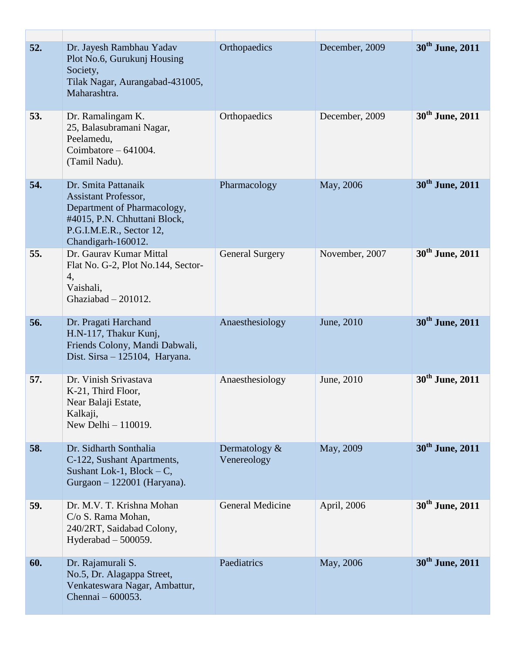| 52. | Dr. Jayesh Rambhau Yadav<br>Plot No.6, Gurukunj Housing<br>Society,<br>Tilak Nagar, Aurangabad-431005,<br>Maharashtra.                                              | Orthopaedics                   | December, 2009 | 30 <sup>th</sup> June, 2011 |
|-----|---------------------------------------------------------------------------------------------------------------------------------------------------------------------|--------------------------------|----------------|-----------------------------|
| 53. | Dr. Ramalingam K.<br>25, Balasubramani Nagar,<br>Peelamedu,<br>Coimbatore $-641004$ .<br>(Tamil Nadu).                                                              | Orthopaedics                   | December, 2009 | 30 <sup>th</sup> June, 2011 |
| 54. | Dr. Smita Pattanaik<br><b>Assistant Professor,</b><br>Department of Pharmacology,<br>#4015, P.N. Chhuttani Block,<br>P.G.I.M.E.R., Sector 12,<br>Chandigarh-160012. | Pharmacology                   | May, 2006      | 30 <sup>th</sup> June, 2011 |
| 55. | Dr. Gaurav Kumar Mittal<br>Flat No. G-2, Plot No.144, Sector-<br>4,<br>Vaishali,<br>Ghaziabad - 201012.                                                             | <b>General Surgery</b>         | November, 2007 | 30 <sup>th</sup> June, 2011 |
| 56. | Dr. Pragati Harchand<br>H.N-117, Thakur Kunj,<br>Friends Colony, Mandi Dabwali,<br>Dist. Sirsa - 125104, Haryana.                                                   | Anaesthesiology                | June, 2010     | 30 <sup>th</sup> June, 2011 |
| 57. | Dr. Vinish Srivastava<br>K-21, Third Floor,<br>Near Balaji Estate,<br>Kalkaji,<br>New Delhi - 110019.                                                               | Anaesthesiology                | June, 2010     | 30 <sup>th</sup> June, 2011 |
| 58. | Dr. Sidharth Sonthalia<br>C-122, Sushant Apartments,<br>Sushant Lok-1, Block $-C$ ,<br>Gurgaon - 122001 (Haryana).                                                  | Dermatology $&$<br>Venereology | May, 2009      | 30 <sup>th</sup> June, 2011 |
| 59. | Dr. M.V. T. Krishna Mohan<br>C/o S. Rama Mohan,<br>240/2RT, Saidabad Colony,<br>Hyderabad $-500059$ .                                                               | <b>General Medicine</b>        | April, 2006    | 30 <sup>th</sup> June, 2011 |
| 60. | Dr. Rajamurali S.<br>No.5, Dr. Alagappa Street,<br>Venkateswara Nagar, Ambattur,<br>Chennai – 600053.                                                               | Paediatrics                    | May, 2006      | 30 <sup>th</sup> June, 2011 |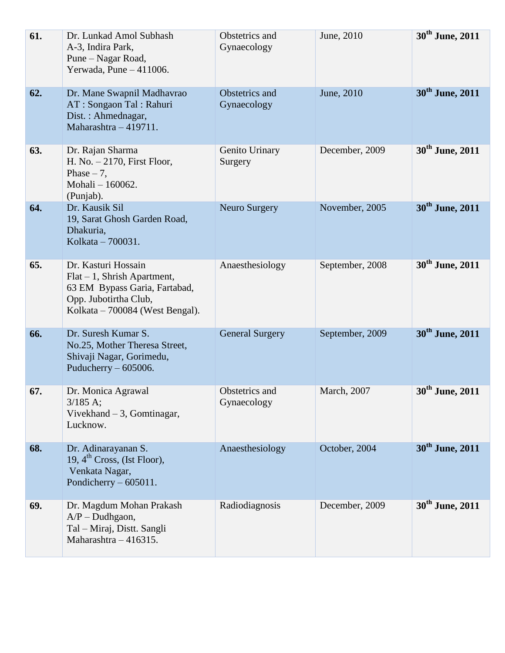| 61. | Dr. Lunkad Amol Subhash<br>A-3, Indira Park,<br>Pune – Nagar Road,<br>Yerwada, Pune $-411006$ .                                                    | Obstetrics and<br>Gynaecology | June, 2010      | 30 <sup>th</sup> June, 2011 |
|-----|----------------------------------------------------------------------------------------------------------------------------------------------------|-------------------------------|-----------------|-----------------------------|
| 62. | Dr. Mane Swapnil Madhavrao<br>AT : Songaon Tal : Rahuri<br>Dist.: Ahmednagar,<br>Maharashtra - 419711.                                             | Obstetrics and<br>Gynaecology | June, 2010      | 30 <sup>th</sup> June, 2011 |
| 63. | Dr. Rajan Sharma<br>H. No. $-2170$ , First Floor,<br>Phase $-7$ ,<br>Mohali - 160062.<br>(Punjab).                                                 | Genito Urinary<br>Surgery     | December, 2009  | 30 <sup>th</sup> June, 2011 |
| 64. | Dr. Kausik Sil<br>19, Sarat Ghosh Garden Road,<br>Dhakuria,<br>Kolkata - 700031.                                                                   | <b>Neuro Surgery</b>          | November, 2005  | 30 <sup>th</sup> June, 2011 |
| 65. | Dr. Kasturi Hossain<br>$Flat - 1$ , Shrish Apartment,<br>63 EM Bypass Garia, Fartabad,<br>Opp. Jubotirtha Club,<br>Kolkata – 700084 (West Bengal). | Anaesthesiology               | September, 2008 | 30 <sup>th</sup> June, 2011 |
| 66. | Dr. Suresh Kumar S.<br>No.25, Mother Theresa Street,<br>Shivaji Nagar, Gorimedu,<br>Puducherry $-605006$ .                                         | <b>General Surgery</b>        | September, 2009 | 30 <sup>th</sup> June, 2011 |
| 67. | Dr. Monica Agrawal<br>$3/185$ A;<br>Vivekhand $-3$ , Gomtinagar,<br>Lucknow.                                                                       | Obstetrics and<br>Gynaecology | March, 2007     | 30 <sup>th</sup> June, 2011 |
| 68. | Dr. Adinarayanan S.<br>19, $4^{\text{th}}$ Cross, (Ist Floor),<br>Venkata Nagar,<br>Pondicherry $-605011$ .                                        | Anaesthesiology               | October, 2004   | 30 <sup>th</sup> June, 2011 |
| 69. | Dr. Magdum Mohan Prakash<br>$A/P$ – Dudhgaon,<br>Tal - Miraj, Distt. Sangli<br>Maharashtra $-416315$ .                                             | Radiodiagnosis                | December, 2009  | 30 <sup>th</sup> June, 2011 |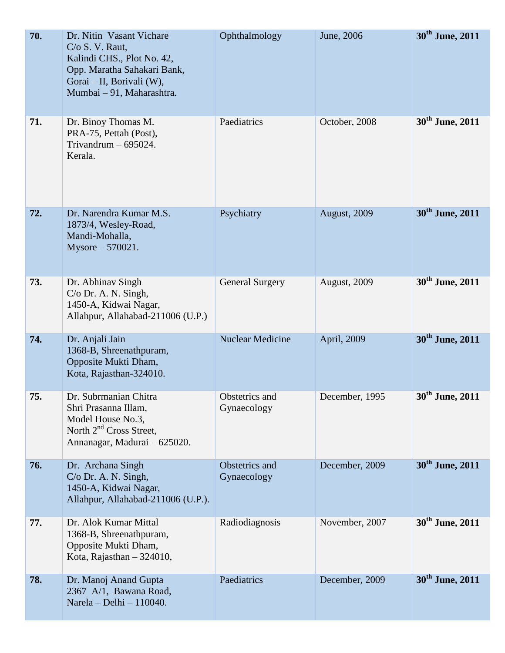| 70. | Dr. Nitin Vasant Vichare<br>C/O S. V. Raut,<br>Kalindi CHS., Plot No. 42,<br>Opp. Maratha Sahakari Bank,<br>Gorai - II, Borivali (W),<br>Mumbai - 91, Maharashtra. | Ophthalmology                 | June, 2006          | 30 <sup>th</sup> June, 2011 |
|-----|--------------------------------------------------------------------------------------------------------------------------------------------------------------------|-------------------------------|---------------------|-----------------------------|
| 71. | Dr. Binoy Thomas M.<br>PRA-75, Pettah (Post),<br>Trivandrum $-695024$ .<br>Kerala.                                                                                 | Paediatrics                   | October, 2008       | 30 <sup>th</sup> June, 2011 |
| 72. | Dr. Narendra Kumar M.S.<br>1873/4, Wesley-Road,<br>Mandi-Mohalla,<br>Mysore $-570021$ .                                                                            | Psychiatry                    | August, 2009        | 30 <sup>th</sup> June, 2011 |
| 73. | Dr. Abhinav Singh<br>$C/O$ Dr. A. N. Singh,<br>1450-A, Kidwai Nagar,<br>Allahpur, Allahabad-211006 (U.P.)                                                          | <b>General Surgery</b>        | <b>August, 2009</b> | 30 <sup>th</sup> June, 2011 |
| 74. | Dr. Anjali Jain<br>1368-B, Shreenathpuram,<br>Opposite Mukti Dham,<br>Kota, Rajasthan-324010.                                                                      | <b>Nuclear Medicine</b>       | April, 2009         | 30 <sup>th</sup> June, 2011 |
| 75. | Dr. Subrmanian Chitra<br>Shri Prasanna Illam,<br>Model House No.3,<br>North $2nd$ Cross Street,<br>Annanagar, Madurai - 625020.                                    | Obstetrics and<br>Gynaecology | December, 1995      | 30 <sup>th</sup> June, 2011 |
| 76. | Dr. Archana Singh<br>$C/O$ Dr. A. N. Singh,<br>1450-A, Kidwai Nagar,<br>Allahpur, Allahabad-211006 (U.P.).                                                         | Obstetrics and<br>Gynaecology | December, 2009      | 30 <sup>th</sup> June, 2011 |
| 77. | Dr. Alok Kumar Mittal<br>1368-B, Shreenathpuram,<br>Opposite Mukti Dham,<br>Kota, Rajasthan $-324010$ ,                                                            | Radiodiagnosis                | November, 2007      | 30 <sup>th</sup> June, 2011 |
| 78. | Dr. Manoj Anand Gupta<br>2367 A/1, Bawana Road,<br>Narela - Delhi - 110040.                                                                                        | Paediatrics                   | December, 2009      | 30 <sup>th</sup> June, 2011 |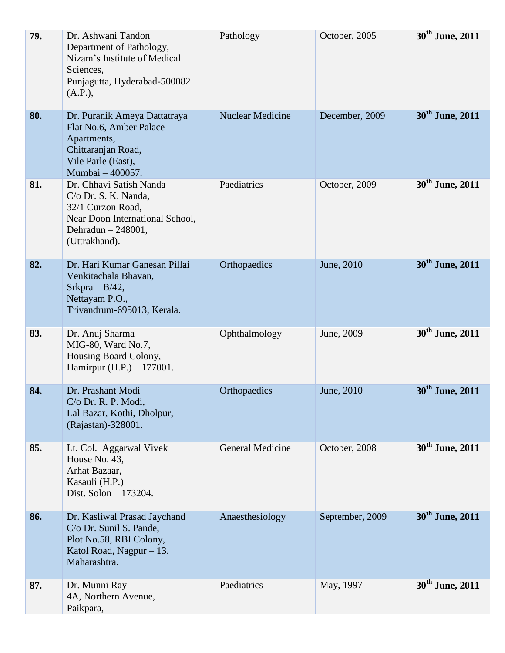| 79. | Dr. Ashwani Tandon<br>Department of Pathology,<br>Nizam's Institute of Medical<br>Sciences,<br>Punjagutta, Hyderabad-500082<br>(A.P.),           | Pathology               | October, 2005   | 30 <sup>th</sup> June, 2011 |
|-----|--------------------------------------------------------------------------------------------------------------------------------------------------|-------------------------|-----------------|-----------------------------|
| 80. | Dr. Puranik Ameya Dattatraya<br>Flat No.6, Amber Palace<br>Apartments,<br>Chittaranjan Road,<br>Vile Parle (East),<br>Mumbai - 400057.           | <b>Nuclear Medicine</b> | December, 2009  | 30 <sup>th</sup> June, 2011 |
| 81. | Dr. Chhavi Satish Nanda<br>C/o Dr. S. K. Nanda,<br>32/1 Curzon Road,<br>Near Doon International School,<br>Dehradun $-248001$ ,<br>(Uttrakhand). | Paediatrics             | October, 2009   | 30 <sup>th</sup> June, 2011 |
| 82. | Dr. Hari Kumar Ganesan Pillai<br>Venkitachala Bhavan,<br>Srkpra – $B/42$ ,<br>Nettayam P.O.,<br>Trivandrum-695013, Kerala.                       | Orthopaedics            | June, 2010      | 30 <sup>th</sup> June, 2011 |
| 83. | Dr. Anuj Sharma<br>MIG-80, Ward No.7,<br>Housing Board Colony,<br>Hamirpur (H.P.) $- 177001$ .                                                   | Ophthalmology           | June, 2009      | 30 <sup>th</sup> June, 2011 |
| 84. | Dr. Prashant Modi<br>$C/O$ Dr. R. P. Modi,<br>Lal Bazar, Kothi, Dholpur,<br>(Rajastan)-328001.                                                   | Orthopaedics            | June, 2010      | 30 <sup>th</sup> June, 2011 |
| 85. | Lt. Col. Aggarwal Vivek<br>House No. 43,<br>Arhat Bazaar,<br>Kasauli (H.P.)<br>Dist. Solon - 173204.                                             | <b>General Medicine</b> | October, 2008   | 30 <sup>th</sup> June, 2011 |
| 86. | Dr. Kasliwal Prasad Jaychand<br>C/o Dr. Sunil S. Pande,<br>Plot No.58, RBI Colony,<br>Katol Road, Nagpur $-13$ .<br>Maharashtra.                 | Anaesthesiology         | September, 2009 | 30 <sup>th</sup> June, 2011 |
| 87. | Dr. Munni Ray<br>4A, Northern Avenue,<br>Paikpara,                                                                                               | Paediatrics             | May, 1997       | 30 <sup>th</sup> June, 2011 |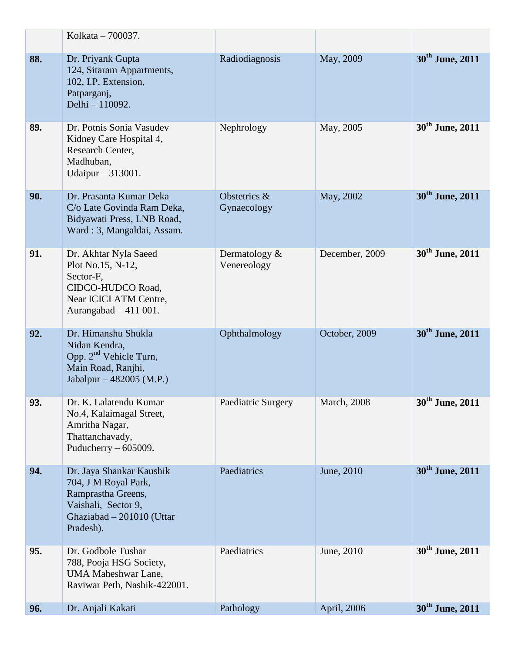|     | Kolkata - 700037.                                                                                                                       |                                |                     |                             |
|-----|-----------------------------------------------------------------------------------------------------------------------------------------|--------------------------------|---------------------|-----------------------------|
| 88. | Dr. Priyank Gupta<br>124, Sitaram Appartments,<br>102, I.P. Extension,<br>Patparganj,<br>Delhi - 110092.                                | Radiodiagnosis                 | May, 2009           | 30 <sup>th</sup> June, 2011 |
| 89. | Dr. Potnis Sonia Vasudev<br>Kidney Care Hospital 4,<br>Research Center,<br>Madhuban,<br>Udaipur – 313001.                               | Nephrology                     | May, 2005           | 30 <sup>th</sup> June, 2011 |
| 90. | Dr. Prasanta Kumar Deka<br>C/o Late Govinda Ram Deka,<br>Bidyawati Press, LNB Road,<br>Ward: 3, Mangaldai, Assam.                       | Obstetrics &<br>Gynaecology    | May, 2002           | 30 <sup>th</sup> June, 2011 |
| 91. | Dr. Akhtar Nyla Saeed<br>Plot No.15, N-12,<br>Sector-F,<br>CIDCO-HUDCO Road,<br>Near ICICI ATM Centre,<br>Aurangabad $-411$ 001.        | Dermatology $&$<br>Venereology | December, 2009      | 30 <sup>th</sup> June, 2011 |
| 92. | Dr. Himanshu Shukla<br>Nidan Kendra,<br>Opp. $2nd$ Vehicle Turn,<br>Main Road, Ranjhi,<br>Jabalpur – 482005 (M.P.)                      | Ophthalmology                  | October, 2009       | 30 <sup>th</sup> June, 2011 |
| 93. | Dr. K. Lalatendu Kumar<br>No.4, Kalaimagal Street,<br>Amritha Nagar,<br>Thattanchavady,<br>Puducherry $-605009$ .                       | Paediatric Surgery             | <b>March</b> , 2008 | 30 <sup>th</sup> June, 2011 |
| 94. | Dr. Jaya Shankar Kaushik<br>704, J M Royal Park,<br>Ramprastha Greens,<br>Vaishali, Sector 9,<br>Ghaziabad - 201010 (Uttar<br>Pradesh). | Paediatrics                    | June, 2010          | 30 <sup>th</sup> June, 2011 |
| 95. | Dr. Godbole Tushar<br>788, Pooja HSG Society,<br><b>UMA Maheshwar Lane,</b><br>Raviwar Peth, Nashik-422001.                             | Paediatrics                    | June, 2010          | 30 <sup>th</sup> June, 2011 |
| 96. | Dr. Anjali Kakati                                                                                                                       | Pathology                      | April, 2006         | 30 <sup>th</sup> June, 2011 |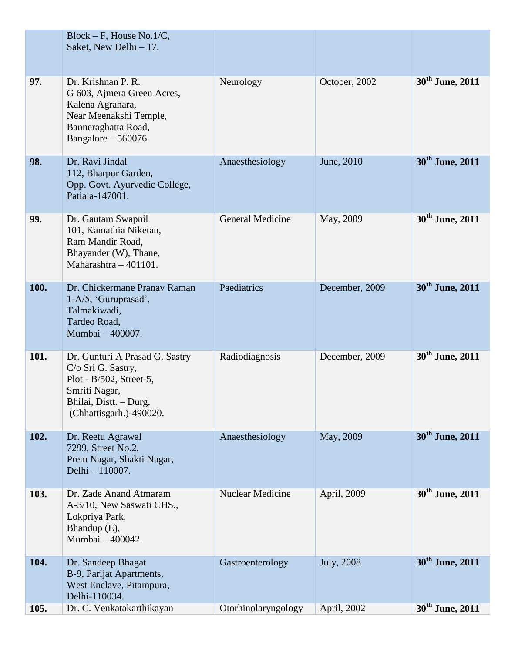|      | $Block - F$ , House No.1/C,<br>Saket, New Delhi - 17.                                                                                                 |                         |                |                             |
|------|-------------------------------------------------------------------------------------------------------------------------------------------------------|-------------------------|----------------|-----------------------------|
| 97.  | Dr. Krishnan P. R.<br>G 603, Ajmera Green Acres,<br>Kalena Agrahara,<br>Near Meenakshi Temple,<br>Banneraghatta Road,<br>Bangalore $-560076$ .        | Neurology               | October, 2002  | 30 <sup>th</sup> June, 2011 |
| 98.  | Dr. Ravi Jindal<br>112, Bharpur Garden,<br>Opp. Govt. Ayurvedic College,<br>Patiala-147001.                                                           | Anaesthesiology         | June, 2010     | 30 <sup>th</sup> June, 2011 |
| 99.  | Dr. Gautam Swapnil<br>101, Kamathia Niketan,<br>Ram Mandir Road,<br>Bhayander (W), Thane,<br>Maharashtra - 401101.                                    | <b>General Medicine</b> | May, 2009      | 30 <sup>th</sup> June, 2011 |
| 100. | Dr. Chickermane Pranav Raman<br>$1-A/5$ , 'Guruprasad',<br>Talmakiwadi,<br>Tardeo Road,<br>Mumbai - 400007.                                           | Paediatrics             | December, 2009 | 30 <sup>th</sup> June, 2011 |
| 101. | Dr. Gunturi A Prasad G. Sastry<br>C/o Sri G. Sastry,<br>Plot - B/502, Street-5,<br>Smriti Nagar,<br>Bhilai, Distt. – Durg,<br>(Chhattisgarh.)-490020. | Radiodiagnosis          | December, 2009 | 30 <sup>th</sup> June, 2011 |
| 102. | Dr. Reetu Agrawal<br>7299, Street No.2,<br>Prem Nagar, Shakti Nagar,<br>Delhi - 110007.                                                               | Anaesthesiology         | May, 2009      | 30 <sup>th</sup> June, 2011 |
| 103. | Dr. Zade Anand Atmaram<br>A-3/10, New Saswati CHS.,<br>Lokpriya Park,<br>Bhandup (E),<br>Mumbai - 400042.                                             | Nuclear Medicine        | April, 2009    | 30 <sup>th</sup> June, 2011 |
| 104. | Dr. Sandeep Bhagat<br>B-9, Parijat Apartments,<br>West Enclave, Pitampura,<br>Delhi-110034.                                                           | Gastroenterology        | July, 2008     | 30 <sup>th</sup> June, 2011 |
| 105. | Dr. C. Venkatakarthikayan                                                                                                                             | Otorhinolaryngology     | April, 2002    | 30 <sup>th</sup> June, 2011 |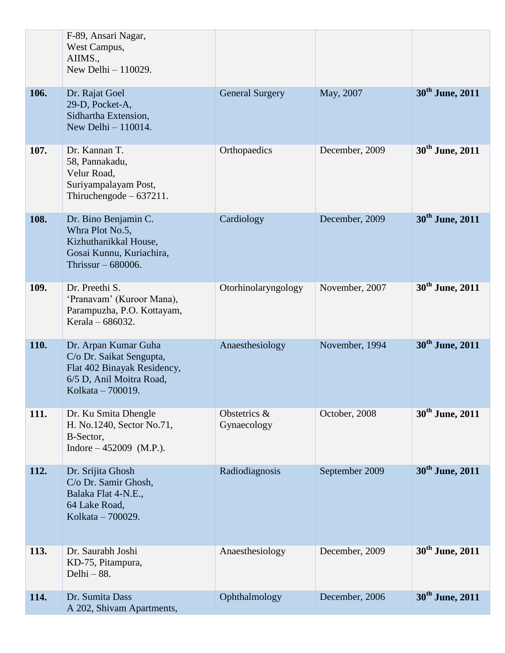|      | F-89, Ansari Nagar,<br>West Campus,<br>AIIMS.,<br>New Delhi - 110029.                                                            |                             |                |                             |
|------|----------------------------------------------------------------------------------------------------------------------------------|-----------------------------|----------------|-----------------------------|
| 106. | Dr. Rajat Goel<br>29-D, Pocket-A,<br>Sidhartha Extension,<br>New Delhi - 110014.                                                 | <b>General Surgery</b>      | May, 2007      | 30 <sup>th</sup> June, 2011 |
| 107. | Dr. Kannan T.<br>58, Pannakadu,<br>Velur Road,<br>Suriyampalayam Post,<br>Thiruchengode $-637211$ .                              | Orthopaedics                | December, 2009 | 30 <sup>th</sup> June, 2011 |
| 108. | Dr. Bino Benjamin C.<br>Whra Plot No.5,<br>Kizhuthanikkal House,<br>Gosai Kunnu, Kuriachira,<br>Thrissur $-680006$ .             | Cardiology                  | December, 2009 | 30 <sup>th</sup> June, 2011 |
| 109. | Dr. Preethi S.<br>'Pranavam' (Kuroor Mana),<br>Parampuzha, P.O. Kottayam,<br>Kerala – 686032.                                    | Otorhinolaryngology         | November, 2007 | 30 <sup>th</sup> June, 2011 |
| 110. | Dr. Arpan Kumar Guha<br>C/o Dr. Saikat Sengupta,<br>Flat 402 Binayak Residency,<br>6/5 D, Anil Moitra Road,<br>Kolkata - 700019. | Anaesthesiology             | November, 1994 | 30 <sup>th</sup> June, 2011 |
| 111. | Dr. Ku Smita Dhengle<br>H. No.1240, Sector No.71,<br>B-Sector,<br>Indore $-452009$ (M.P.).                                       | Obstetrics &<br>Gynaecology | October, 2008  | 30 <sup>th</sup> June, 2011 |
| 112. | Dr. Srijita Ghosh<br>C/o Dr. Samir Ghosh,<br>Balaka Flat 4-N.E.,<br>64 Lake Road,<br>Kolkata - 700029.                           | Radiodiagnosis              | September 2009 | 30 <sup>th</sup> June, 2011 |
| 113. | Dr. Saurabh Joshi<br>KD-75, Pitampura,<br>Delhi - 88.                                                                            | Anaesthesiology             | December, 2009 | 30 <sup>th</sup> June, 2011 |
| 114. | Dr. Sumita Dass<br>A 202, Shivam Apartments,                                                                                     | Ophthalmology               | December, 2006 | 30 <sup>th</sup> June, 2011 |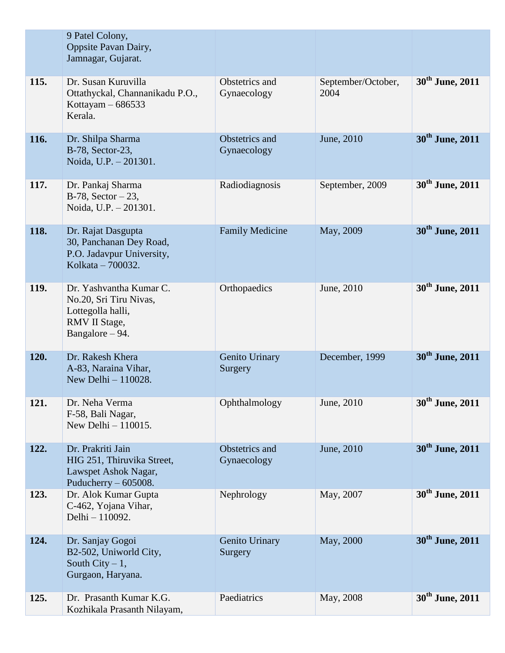|      | 9 Patel Colony,<br>Oppsite Pavan Dairy,<br>Jamnagar, Gujarat.                                              |                               |                            |                             |
|------|------------------------------------------------------------------------------------------------------------|-------------------------------|----------------------------|-----------------------------|
| 115. | Dr. Susan Kuruvilla<br>Ottathyckal, Channanikadu P.O.,<br>Kottayam $-686533$<br>Kerala.                    | Obstetrics and<br>Gynaecology | September/October,<br>2004 | 30 <sup>th</sup> June, 2011 |
| 116. | Dr. Shilpa Sharma<br>B-78, Sector-23,<br>Noida, U.P. - 201301.                                             | Obstetrics and<br>Gynaecology | June, 2010                 | 30 <sup>th</sup> June, 2011 |
| 117. | Dr. Pankaj Sharma<br>B-78, Sector $-23$ ,<br>Noida, U.P. - 201301.                                         | Radiodiagnosis                | September, 2009            | 30 <sup>th</sup> June, 2011 |
| 118. | Dr. Rajat Dasgupta<br>30, Panchanan Dey Road,<br>P.O. Jadavpur University,<br>Kolkata - 700032.            | <b>Family Medicine</b>        | May, 2009                  | 30 <sup>th</sup> June, 2011 |
| 119. | Dr. Yashvantha Kumar C.<br>No.20, Sri Tiru Nivas,<br>Lottegolla halli,<br>RMV II Stage,<br>Bangalore - 94. | Orthopaedics                  | June, 2010                 | 30 <sup>th</sup> June, 2011 |
| 120. | Dr. Rakesh Khera<br>A-83, Naraina Vihar,<br>New Delhi - 110028.                                            | Genito Urinary<br>Surgery     | December, 1999             | 30 <sup>th</sup> June, 2011 |
| 121. | Dr. Neha Verma<br>F-58, Bali Nagar,<br>New Delhi $-110015$ .                                               | Ophthalmology                 | June, 2010                 | 30 <sup>th</sup> June, 2011 |
| 122. | Dr. Prakriti Jain<br>HIG 251, Thiruvika Street,<br>Lawspet Ashok Nagar,<br>Puducherry $-605008$ .          | Obstetrics and<br>Gynaecology | June, 2010                 | 30 <sup>th</sup> June, 2011 |
| 123. | Dr. Alok Kumar Gupta<br>C-462, Yojana Vihar,<br>Delhi - 110092.                                            | Nephrology                    | May, 2007                  | 30 <sup>th</sup> June, 2011 |
| 124. | Dr. Sanjay Gogoi<br>B2-502, Uniworld City,<br>South City $-1$ ,<br>Gurgaon, Haryana.                       | Genito Urinary<br>Surgery     | May, 2000                  | 30 <sup>th</sup> June, 2011 |
| 125. | Dr. Prasanth Kumar K.G.<br>Kozhikala Prasanth Nilayam,                                                     | Paediatrics                   | May, 2008                  | 30 <sup>th</sup> June, 2011 |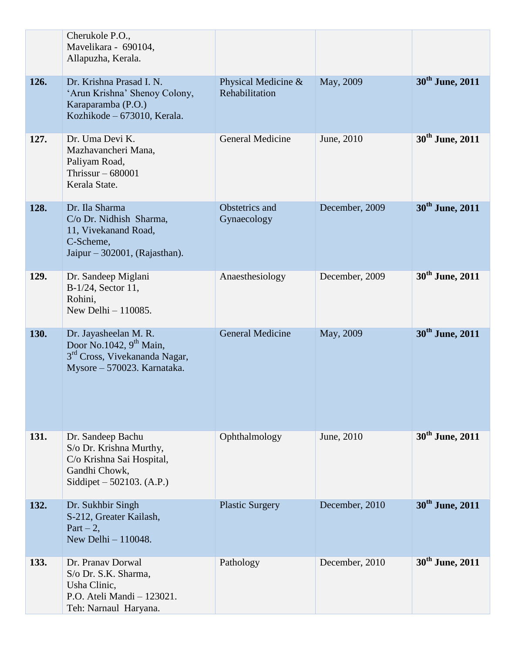|      | Cherukole P.O.,<br>Mavelikara - 690104,<br>Allapuzha, Kerala.                                                                  |                                       |                |                             |
|------|--------------------------------------------------------------------------------------------------------------------------------|---------------------------------------|----------------|-----------------------------|
| 126. | Dr. Krishna Prasad I. N.<br>'Arun Krishna' Shenoy Colony,<br>Karaparamba (P.O.)<br>Kozhikode - 673010, Kerala.                 | Physical Medicine &<br>Rehabilitation | May, 2009      | 30 <sup>th</sup> June, 2011 |
| 127. | Dr. Uma Devi K.<br>Mazhavancheri Mana,<br>Paliyam Road,<br>Thrissur $-680001$<br>Kerala State.                                 | <b>General Medicine</b>               | June, 2010     | 30 <sup>th</sup> June, 2011 |
| 128. | Dr. Ila Sharma<br>C/o Dr. Nidhish Sharma,<br>11, Vivekanand Road,<br>C-Scheme,<br>Jaipur $-302001$ , (Rajasthan).              | Obstetrics and<br>Gynaecology         | December, 2009 | 30 <sup>th</sup> June, 2011 |
| 129. | Dr. Sandeep Miglani<br>B-1/24, Sector 11,<br>Rohini,<br>New Delhi $-110085$ .                                                  | Anaesthesiology                       | December, 2009 | 30 <sup>th</sup> June, 2011 |
| 130. | Dr. Jayasheelan M. R.<br>Door No.1042, $9th$ Main,<br>3 <sup>rd</sup> Cross, Vivekananda Nagar,<br>Mysore - 570023. Karnataka. | <b>General Medicine</b>               | May, 2009      | 30 <sup>th</sup> June, 2011 |
| 131. | Dr. Sandeep Bachu<br>S/o Dr. Krishna Murthy,<br>C/o Krishna Sai Hospital,<br>Gandhi Chowk,<br>Siddipet $-502103$ . (A.P.)      | Ophthalmology                         | June, 2010     | 30 <sup>th</sup> June, 2011 |
| 132. | Dr. Sukhbir Singh<br>S-212, Greater Kailash,<br>$Part - 2$ ,<br>New Delhi - 110048.                                            | <b>Plastic Surgery</b>                | December, 2010 | 30 <sup>th</sup> June, 2011 |
| 133. | Dr. Pranav Dorwal<br>S/o Dr. S.K. Sharma,<br>Usha Clinic,<br>P.O. Ateli Mandi - 123021.<br>Teh: Narnaul Haryana.               | Pathology                             | December, 2010 | 30 <sup>th</sup> June, 2011 |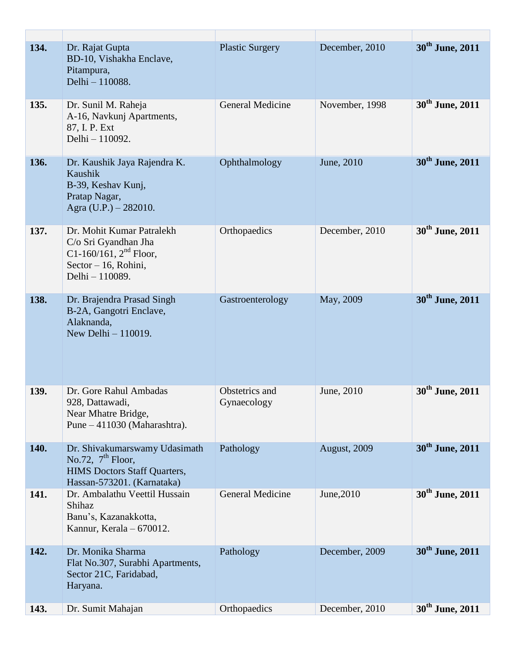| 134. | Dr. Rajat Gupta<br>BD-10, Vishakha Enclave,<br>Pitampura,<br>Delhi - 110088.                                                  | <b>Plastic Surgery</b>        | December, 2010 | 30 <sup>th</sup> June, 2011 |
|------|-------------------------------------------------------------------------------------------------------------------------------|-------------------------------|----------------|-----------------------------|
| 135. | Dr. Sunil M. Raheja<br>A-16, Navkunj Apartments,<br>87, I. P. Ext<br>Delhi - 110092.                                          | <b>General Medicine</b>       | November, 1998 | 30 <sup>th</sup> June, 2011 |
| 136. | Dr. Kaushik Jaya Rajendra K.<br>Kaushik<br>B-39, Keshav Kunj,<br>Pratap Nagar,<br>Agra $(U.P.) - 282010$ .                    | Ophthalmology                 | June, 2010     | 30 <sup>th</sup> June, 2011 |
| 137. | Dr. Mohit Kumar Patralekh<br>C/o Sri Gyandhan Jha<br>C1-160/161, $2^{nd}$ Floor,<br>Sector $-16$ , Rohini,<br>Delhi - 110089. | Orthopaedics                  | December, 2010 | 30 <sup>th</sup> June, 2011 |
| 138. | Dr. Brajendra Prasad Singh<br>B-2A, Gangotri Enclave,<br>Alaknanda,<br>New Delhi - 110019.                                    | Gastroenterology              | May, 2009      | 30 <sup>th</sup> June, 2011 |
| 139. | Dr. Gore Rahul Ambadas<br>928, Dattawadi,<br>Near Mhatre Bridge,<br>Pune - 411030 (Maharashtra).                              | Obstetrics and<br>Gynaecology | June, 2010     | 30 <sup>th</sup> June, 2011 |
| 140. | Dr. Shivakumarswamy Udasimath<br>No.72, $7th$ Floor,<br><b>HIMS Doctors Staff Quarters,</b><br>Hassan-573201. (Karnataka)     | Pathology                     | August, 2009   | 30 <sup>th</sup> June, 2011 |
| 141. | Dr. Ambalathu Veettil Hussain<br>Shihaz<br>Banu's, Kazanakkotta,<br>Kannur, Kerala - 670012.                                  | <b>General Medicine</b>       | June, 2010     | 30 <sup>th</sup> June, 2011 |
| 142. | Dr. Monika Sharma<br>Flat No.307, Surabhi Apartments,<br>Sector 21C, Faridabad,<br>Haryana.                                   | Pathology                     | December, 2009 | 30 <sup>th</sup> June, 2011 |
| 143. | Dr. Sumit Mahajan                                                                                                             | Orthopaedics                  | December, 2010 | 30 <sup>th</sup> June, 2011 |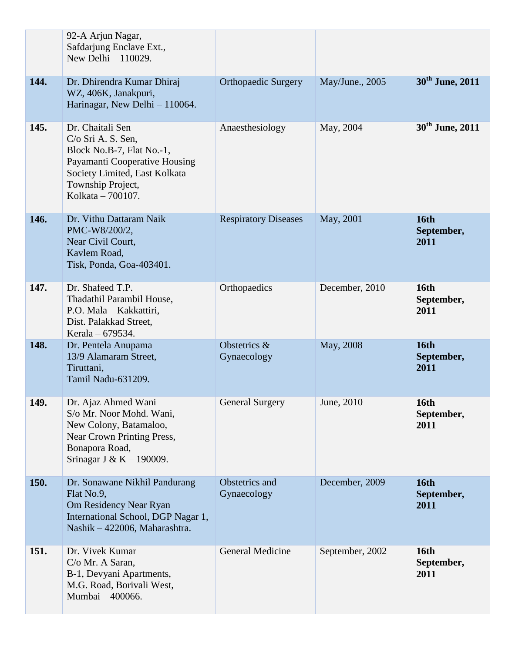|      | 92-A Arjun Nagar,<br>Safdarjung Enclave Ext.,<br>New Delhi $-110029$ .                                                                                                            |                               |                 |                                   |
|------|-----------------------------------------------------------------------------------------------------------------------------------------------------------------------------------|-------------------------------|-----------------|-----------------------------------|
| 144. | Dr. Dhirendra Kumar Dhiraj<br>WZ, 406K, Janakpuri,<br>Harinagar, New Delhi - 110064.                                                                                              | <b>Orthopaedic Surgery</b>    | May/June., 2005 | 30 <sup>th</sup> June, 2011       |
| 145. | Dr. Chaitali Sen<br>$C/O$ Sri A. S. Sen,<br>Block No.B-7, Flat No.-1,<br>Payamanti Cooperative Housing<br>Society Limited, East Kolkata<br>Township Project,<br>Kolkata – 700107. | Anaesthesiology               | May, 2004       | 30 <sup>th</sup> June, 2011       |
| 146. | Dr. Vithu Dattaram Naik<br>PMC-W8/200/2,<br>Near Civil Court,<br>Kavlem Road,<br>Tisk, Ponda, Goa-403401.                                                                         | <b>Respiratory Diseases</b>   | May, 2001       | <b>16th</b><br>September,<br>2011 |
| 147. | Dr. Shafeed T.P.<br>Thadathil Parambil House,<br>P.O. Mala - Kakkattiri,<br>Dist. Palakkad Street,<br>Kerala – 679534.                                                            | Orthopaedics                  | December, 2010  | 16th<br>September,<br>2011        |
| 148. | Dr. Pentela Anupama<br>13/9 Alamaram Street,<br>Tiruttani,<br>Tamil Nadu-631209.                                                                                                  | Obstetrics &<br>Gynaecology   | May, 2008       | <b>16th</b><br>September,<br>2011 |
| 149. | Dr. Ajaz Ahmed Wani<br>S/o Mr. Noor Mohd. Wani,<br>New Colony, Batamaloo,<br><b>Near Crown Printing Press,</b><br>Bonapora Road,<br>Srinagar J & K $-$ 190009.                    | <b>General Surgery</b>        | June, 2010      | <b>16th</b><br>September,<br>2011 |
| 150. | Dr. Sonawane Nikhil Pandurang<br>Flat No.9,<br>Om Residency Near Ryan<br>International School, DGP Nagar 1,<br>Nashik - 422006, Maharashtra.                                      | Obstetrics and<br>Gynaecology | December, 2009  | <b>16th</b><br>September,<br>2011 |
| 151. | Dr. Vivek Kumar<br>C/o Mr. A Saran,<br>B-1, Devyani Apartments,<br>M.G. Road, Borivali West,<br>Mumbai - 400066.                                                                  | General Medicine              | September, 2002 | <b>16th</b><br>September,<br>2011 |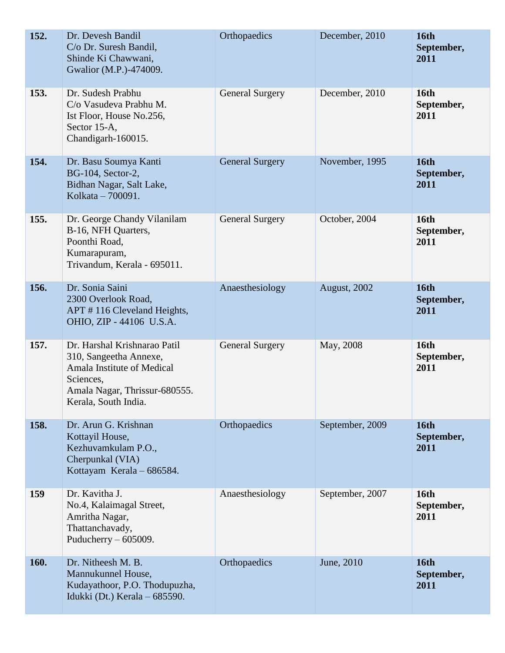| 152. | Dr. Devesh Bandil<br>C/o Dr. Suresh Bandil,<br>Shinde Ki Chawwani,<br>Gwalior (M.P.)-474009.                                                               | Orthopaedics           | December, 2010  | 16th<br>September,<br>2011        |
|------|------------------------------------------------------------------------------------------------------------------------------------------------------------|------------------------|-----------------|-----------------------------------|
| 153. | Dr. Sudesh Prabhu<br>C/o Vasudeva Prabhu M.<br>Ist Floor, House No.256,<br>Sector 15-A,<br>Chandigarh-160015.                                              | <b>General Surgery</b> | December, 2010  | <b>16th</b><br>September,<br>2011 |
| 154. | Dr. Basu Soumya Kanti<br>BG-104, Sector-2,<br>Bidhan Nagar, Salt Lake,<br>Kolkata – 700091.                                                                | <b>General Surgery</b> | November, 1995  | <b>16th</b><br>September,<br>2011 |
| 155. | Dr. George Chandy Vilanilam<br>B-16, NFH Quarters,<br>Poonthi Road,<br>Kumarapuram,<br>Trivandum, Kerala - 695011.                                         | <b>General Surgery</b> | October, 2004   | 16th<br>September,<br>2011        |
| 156. | Dr. Sonia Saini<br>2300 Overlook Road,<br>APT #116 Cleveland Heights,<br>OHIO, ZIP - 44106 U.S.A.                                                          | Anaesthesiology        | August, 2002    | <b>16th</b><br>September,<br>2011 |
| 157. | Dr. Harshal Krishnarao Patil<br>310, Sangeetha Annexe,<br>Amala Institute of Medical<br>Sciences,<br>Amala Nagar, Thrissur-680555.<br>Kerala, South India. | <b>General Surgery</b> | May, 2008       | <b>16th</b><br>September,<br>2011 |
| 158. | Dr. Arun G. Krishnan<br>Kottayil House,<br>Kezhuvamkulam P.O.,<br>Cherpunkal (VIA)<br>Kottayam Kerala - 686584.                                            | Orthopaedics           | September, 2009 | 16th<br>September,<br>2011        |
| 159  | Dr. Kavitha J.<br>No.4, Kalaimagal Street,<br>Amritha Nagar,<br>Thattanchavady,<br>Puducherry $-605009$ .                                                  | Anaesthesiology        | September, 2007 | <b>16th</b><br>September,<br>2011 |
| 160. | Dr. Nitheesh M. B.<br>Mannukunnel House,<br>Kudayathoor, P.O. Thodupuzha,<br>Idukki (Dt.) Kerala – 685590.                                                 | Orthopaedics           | June, 2010      | <b>16th</b><br>September,<br>2011 |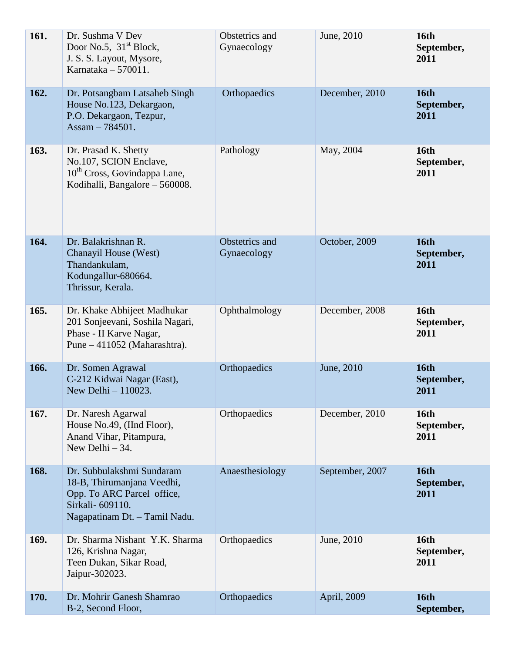| 161. | Dr. Sushma V Dev<br>Door No.5, $31st Block$ ,<br>J. S. S. Layout, Mysore,<br>Karnataka $-570011$ .                                         | Obstetrics and<br>Gynaecology | June, 2010      | <b>16th</b><br>September,<br>2011 |
|------|--------------------------------------------------------------------------------------------------------------------------------------------|-------------------------------|-----------------|-----------------------------------|
| 162. | Dr. Potsangbam Latsaheb Singh<br>House No.123, Dekargaon,<br>P.O. Dekargaon, Tezpur,<br>Assam $-784501$ .                                  | Orthopaedics                  | December, 2010  | <b>16th</b><br>September,<br>2011 |
| 163. | Dr. Prasad K. Shetty<br>No.107, SCION Enclave,<br>$10th$ Cross, Govindappa Lane,<br>Kodihalli, Bangalore – 560008.                         | Pathology                     | May, 2004       | <b>16th</b><br>September,<br>2011 |
| 164. | Dr. Balakrishnan R.<br>Chanayil House (West)<br>Thandankulam,<br>Kodungallur-680664.<br>Thrissur, Kerala.                                  | Obstetrics and<br>Gynaecology | October, 2009   | <b>16th</b><br>September,<br>2011 |
| 165. | Dr. Khake Abhijeet Madhukar<br>201 Sonjeevani, Soshila Nagari,<br>Phase - II Karve Nagar,<br>Pune – 411052 (Maharashtra).                  | Ophthalmology                 | December, 2008  | <b>16th</b><br>September,<br>2011 |
| 166. | Dr. Somen Agrawal<br>C-212 Kidwai Nagar (East),<br>New Delhi - 110023.                                                                     | Orthopaedics                  | June, 2010      | <b>16th</b><br>September,<br>2011 |
| 167. | Dr. Naresh Agarwal<br>House No.49, (IInd Floor),<br>Anand Vihar, Pitampura,<br>New Delhi $-34$ .                                           | Orthopaedics                  | December, 2010  | <b>16th</b><br>September,<br>2011 |
| 168. | Dr. Subbulakshmi Sundaram<br>18-B, Thirumanjana Veedhi,<br>Opp. To ARC Parcel office,<br>Sirkali- 609110.<br>Nagapatinam Dt. - Tamil Nadu. | Anaesthesiology               | September, 2007 | <b>16th</b><br>September,<br>2011 |
| 169. | Dr. Sharma Nishant Y.K. Sharma<br>126, Krishna Nagar,<br>Teen Dukan, Sikar Road,<br>Jaipur-302023.                                         | Orthopaedics                  | June, 2010      | <b>16th</b><br>September,<br>2011 |
| 170. | Dr. Mohrir Ganesh Shamrao<br>B-2, Second Floor,                                                                                            | Orthopaedics                  | April, 2009     | <b>16th</b><br>September,         |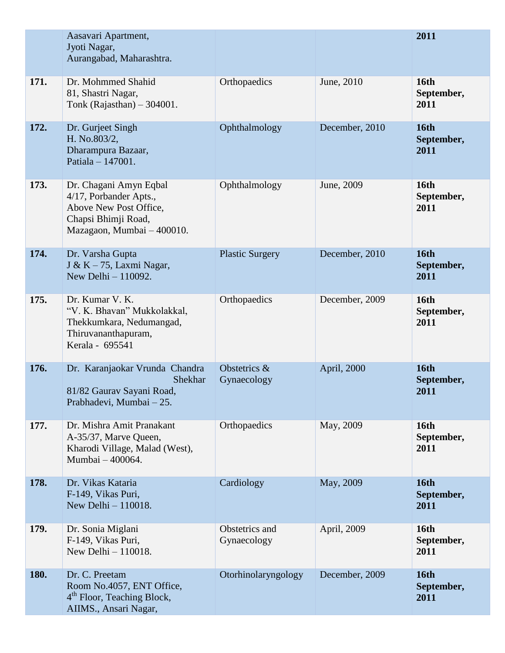|      | Aasavari Apartment,<br>Jyoti Nagar,<br>Aurangabad, Maharashtra.                                                                 |                               |                | 2011                              |
|------|---------------------------------------------------------------------------------------------------------------------------------|-------------------------------|----------------|-----------------------------------|
| 171. | Dr. Mohmmed Shahid<br>81, Shastri Nagar,<br>Tonk (Rajasthan) $-304001$ .                                                        | Orthopaedics                  | June, 2010     | <b>16th</b><br>September,<br>2011 |
| 172. | Dr. Gurjeet Singh<br>H. No.803/2,<br>Dharampura Bazaar,<br>Patiala - 147001.                                                    | Ophthalmology                 | December, 2010 | <b>16th</b><br>September,<br>2011 |
| 173. | Dr. Chagani Amyn Eqbal<br>4/17, Porbander Apts.,<br>Above New Post Office,<br>Chapsi Bhimji Road,<br>Mazagaon, Mumbai - 400010. | Ophthalmology                 | June, 2009     | <b>16th</b><br>September,<br>2011 |
| 174. | Dr. Varsha Gupta<br>J & K $-75$ , Laxmi Nagar,<br>New Delhi - 110092.                                                           | <b>Plastic Surgery</b>        | December, 2010 | <b>16th</b><br>September,<br>2011 |
| 175. | Dr. Kumar V. K.<br>"V. K. Bhavan" Mukkolakkal,<br>Thekkumkara, Nedumangad,<br>Thiruvananthapuram,<br>Kerala - 695541            | Orthopaedics                  | December, 2009 | <b>16th</b><br>September,<br>2011 |
| 176. | Dr. Karanjaokar Vrunda Chandra<br><b>Shekhar</b><br>81/82 Gaurav Sayani Road,<br>Prabhadevi, Mumbai - 25.                       | Obstetrics &<br>Gynaecology   | April, 2000    | <b>16th</b><br>September,<br>2011 |
| 177. | Dr. Mishra Amit Pranakant<br>A-35/37, Marve Queen,<br>Kharodi Village, Malad (West),<br>Mumbai - 400064.                        | Orthopaedics                  | May, 2009      | <b>16th</b><br>September,<br>2011 |
| 178. | Dr. Vikas Kataria<br>F-149, Vikas Puri,<br>New Delhi $-110018$ .                                                                | Cardiology                    | May, 2009      | <b>16th</b><br>September,<br>2011 |
| 179. | Dr. Sonia Miglani<br>F-149, Vikas Puri,<br>New Delhi $-110018$ .                                                                | Obstetrics and<br>Gynaecology | April, 2009    | <b>16th</b><br>September,<br>2011 |
| 180. | Dr. C. Preetam<br>Room No.4057, ENT Office,<br>4 <sup>th</sup> Floor, Teaching Block,<br>AIIMS., Ansari Nagar,                  | Otorhinolaryngology           | December, 2009 | <b>16th</b><br>September,<br>2011 |